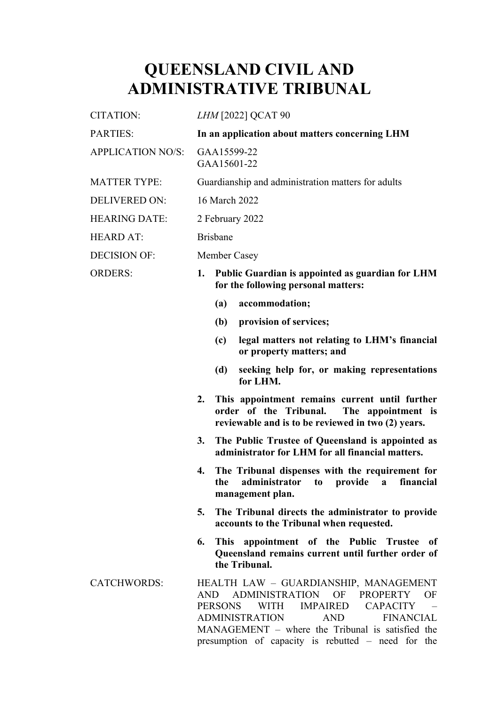# **QUEENSLAND CIVIL AND ADMINISTRATIVE TRIBUNAL**

| <b>CITATION:</b>         | LHM [2022] QCAT 90                                                                                                                                                                                                                                                                                                                               |
|--------------------------|--------------------------------------------------------------------------------------------------------------------------------------------------------------------------------------------------------------------------------------------------------------------------------------------------------------------------------------------------|
| <b>PARTIES:</b>          | In an application about matters concerning LHM                                                                                                                                                                                                                                                                                                   |
| <b>APPLICATION NO/S:</b> | GAA15599-22<br>GAA15601-22                                                                                                                                                                                                                                                                                                                       |
| <b>MATTER TYPE:</b>      | Guardianship and administration matters for adults                                                                                                                                                                                                                                                                                               |
| <b>DELIVERED ON:</b>     | 16 March 2022                                                                                                                                                                                                                                                                                                                                    |
| <b>HEARING DATE:</b>     | 2 February 2022                                                                                                                                                                                                                                                                                                                                  |
| <b>HEARD AT:</b>         | <b>Brisbane</b>                                                                                                                                                                                                                                                                                                                                  |
| <b>DECISION OF:</b>      | Member Casey                                                                                                                                                                                                                                                                                                                                     |
| <b>ORDERS:</b>           | Public Guardian is appointed as guardian for LHM<br>1.<br>for the following personal matters:                                                                                                                                                                                                                                                    |
|                          | accommodation;<br>(a)                                                                                                                                                                                                                                                                                                                            |
|                          | provision of services;<br>(b)                                                                                                                                                                                                                                                                                                                    |
|                          | legal matters not relating to LHM's financial<br>(c)<br>or property matters; and                                                                                                                                                                                                                                                                 |
|                          | seeking help for, or making representations<br>(d)<br>for LHM.                                                                                                                                                                                                                                                                                   |
|                          | This appointment remains current until further<br>2.<br>order of the Tribunal.<br>The appointment is<br>reviewable and is to be reviewed in two (2) years.                                                                                                                                                                                       |
|                          | The Public Trustee of Queensland is appointed as<br>3.<br>administrator for LHM for all financial matters.                                                                                                                                                                                                                                       |
|                          | The Tribunal dispenses with the requirement for<br>4.<br>the administrator to provide a financial<br>management plan.                                                                                                                                                                                                                            |
|                          | The Tribunal directs the administrator to provide<br>5.<br>accounts to the Tribunal when requested.                                                                                                                                                                                                                                              |
|                          | This appointment of the Public Trustee of<br>6.<br>Queensland remains current until further order of<br>the Tribunal.                                                                                                                                                                                                                            |
| <b>CATCHWORDS:</b>       | HEALTH LAW - GUARDIANSHIP, MANAGEMENT<br><b>ADMINISTRATION</b><br>OF<br><b>PROPERTY</b><br>OF<br>AND<br><b>WITH</b><br><b>IMPAIRED</b><br><b>CAPACITY</b><br><b>PERSONS</b><br><b>ADMINISTRATION</b><br><b>AND</b><br><b>FINANCIAL</b><br>MANAGEMENT – where the Tribunal is satisfied the<br>presumption of capacity is rebutted – need for the |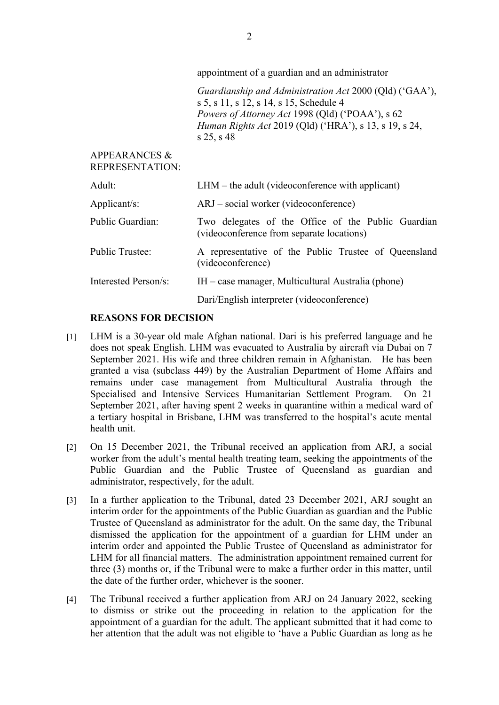appointment of a guardian and an administrator

*Guardianship and Administration Act* 2000 (Qld) ('GAA'), s 5, s 11, s 12, s 14, s 15, Schedule 4 *Powers of Attorney Act* 1998 (Qld) ('POAA'), s 62 *Human Rights Act* 2019 (Qld) ('HRA'), s 13, s 19, s 24, s 25, s 48

APPEARANCES & REPRESENTATION:

| Adult:                 | $LHM$ – the adult (videoconference with applicant)                                              |
|------------------------|-------------------------------------------------------------------------------------------------|
| Applicant/s:           | $ARJ - social worker (video conference)$                                                        |
| Public Guardian:       | Two delegates of the Office of the Public Guardian<br>(videoconference from separate locations) |
| <b>Public Trustee:</b> | A representative of the Public Trustee of Queensland<br>(videoconference)                       |
| Interested Person/s:   | $IH - \text{case manager},$ Multicultural Australia (phone)                                     |
|                        | Dari/English interpreter (videoconference)                                                      |

### **REASONS FOR DECISION**

- [1] LHM is a 30-year old male Afghan national. Dari is his preferred language and he does not speak English. LHM was evacuated to Australia by aircraft via Dubai on 7 September 2021. His wife and three children remain in Afghanistan. He has been granted a visa (subclass 449) by the Australian Department of Home Affairs and remains under case management from Multicultural Australia through the Specialised and Intensive Services Humanitarian Settlement Program. On 21 September 2021, after having spent 2 weeks in quarantine within a medical ward of a tertiary hospital in Brisbane, LHM was transferred to the hospital's acute mental health unit.
- [2] On 15 December 2021, the Tribunal received an application from ARJ, a social worker from the adult's mental health treating team, seeking the appointments of the Public Guardian and the Public Trustee of Queensland as guardian and administrator, respectively, for the adult.
- [3] In a further application to the Tribunal, dated 23 December 2021, ARJ sought an interim order for the appointments of the Public Guardian as guardian and the Public Trustee of Queensland as administrator for the adult. On the same day, the Tribunal dismissed the application for the appointment of a guardian for LHM under an interim order and appointed the Public Trustee of Queensland as administrator for LHM for all financial matters. The administration appointment remained current for three (3) months or, if the Tribunal were to make a further order in this matter, until the date of the further order, whichever is the sooner.
- [4] The Tribunal received a further application from ARJ on 24 January 2022, seeking to dismiss or strike out the proceeding in relation to the application for the appointment of a guardian for the adult. The applicant submitted that it had come to her attention that the adult was not eligible to 'have a Public Guardian as long as he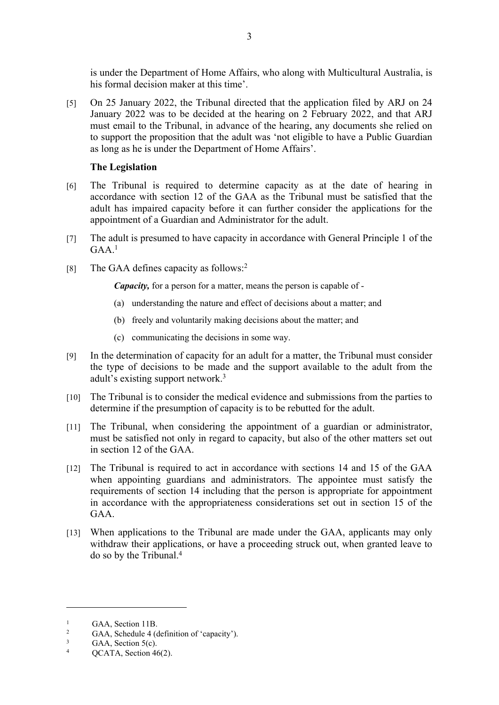is under the Department of Home Affairs, who along with Multicultural Australia, is his formal decision maker at this time'.

[5] On 25 January 2022, the Tribunal directed that the application filed by ARJ on 24 January 2022 was to be decided at the hearing on 2 February 2022, and that ARJ must email to the Tribunal, in advance of the hearing, any documents she relied on to support the proposition that the adult was 'not eligible to have a Public Guardian as long as he is under the Department of Home Affairs'.

#### **The Legislation**

- [6] The Tribunal is required to determine capacity as at the date of hearing in accordance with section 12 of the GAA as the Tribunal must be satisfied that the adult has impaired capacity before it can further consider the applications for the appointment of a Guardian and Administrator for the adult.
- [7] The adult is presumed to have capacity in accordance with General Principle 1 of the  $GAA<sup>1</sup>$
- [8] The GAA defines capacity as follows:<sup>2</sup>

*Capacity,* for a person for a matter, means the person is capable of -

- (a) understanding the nature and effect of decisions about a matter; and
- (b) freely and voluntarily making decisions about the matter; and
- (c) communicating the decisions in some way.
- [9] In the determination of capacity for an adult for a matter, the Tribunal must consider the type of decisions to be made and the support available to the adult from the adult's existing support network.<sup>3</sup>
- [10] The Tribunal is to consider the medical evidence and submissions from the parties to determine if the presumption of capacity is to be rebutted for the adult.
- [11] The Tribunal, when considering the appointment of a guardian or administrator, must be satisfied not only in regard to capacity, but also of the other matters set out in section 12 of the GAA.
- [12] The Tribunal is required to act in accordance with sections 14 and 15 of the GAA when appointing guardians and administrators. The appointee must satisfy the requirements of section 14 including that the person is appropriate for appointment in accordance with the appropriateness considerations set out in section 15 of the GAA.
- [13] When applications to the Tribunal are made under the GAA, applicants may only withdraw their applications, or have a proceeding struck out, when granted leave to do so by the Tribunal.<sup>4</sup>

<sup>1</sup> GAA, Section 11B.

<sup>2</sup> GAA, Schedule 4 (definition of 'capacity').

<sup>3</sup> GAA, Section 5(c).

<sup>4</sup> QCATA, Section 46(2).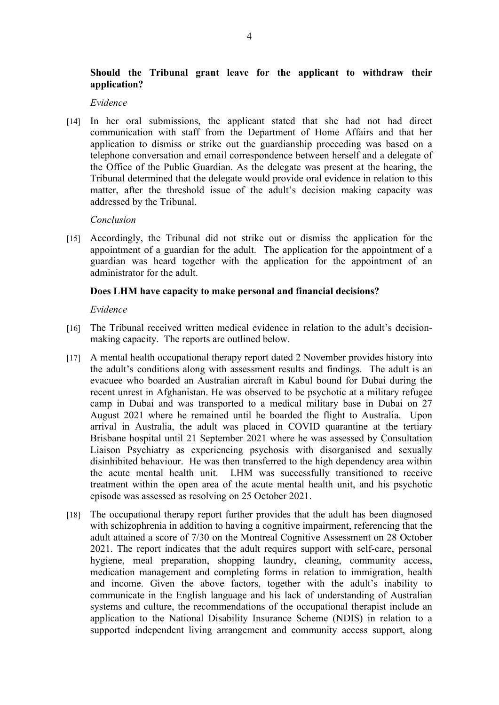## **Should the Tribunal grant leave for the applicant to withdraw their application?**

#### *Evidence*

[14] In her oral submissions, the applicant stated that she had not had direct communication with staff from the Department of Home Affairs and that her application to dismiss or strike out the guardianship proceeding was based on a telephone conversation and email correspondence between herself and a delegate of the Office of the Public Guardian. As the delegate was present at the hearing, the Tribunal determined that the delegate would provide oral evidence in relation to this matter, after the threshold issue of the adult's decision making capacity was addressed by the Tribunal.

#### *Conclusion*

[15] Accordingly, the Tribunal did not strike out or dismiss the application for the appointment of a guardian for the adult. The application for the appointment of a guardian was heard together with the application for the appointment of an administrator for the adult.

#### **Does LHM have capacity to make personal and financial decisions?**

*Evidence*

- [16] The Tribunal received written medical evidence in relation to the adult's decisionmaking capacity. The reports are outlined below.
- [17] A mental health occupational therapy report dated 2 November provides history into the adult's conditions along with assessment results and findings. The adult is an evacuee who boarded an Australian aircraft in Kabul bound for Dubai during the recent unrest in Afghanistan. He was observed to be psychotic at a military refugee camp in Dubai and was transported to a medical military base in Dubai on 27 August 2021 where he remained until he boarded the flight to Australia. Upon arrival in Australia, the adult was placed in COVID quarantine at the tertiary Brisbane hospital until 21 September 2021 where he was assessed by Consultation Liaison Psychiatry as experiencing psychosis with disorganised and sexually disinhibited behaviour. He was then transferred to the high dependency area within the acute mental health unit. LHM was successfully transitioned to receive treatment within the open area of the acute mental health unit, and his psychotic episode was assessed as resolving on 25 October 2021.
- [18] The occupational therapy report further provides that the adult has been diagnosed with schizophrenia in addition to having a cognitive impairment, referencing that the adult attained a score of 7/30 on the Montreal Cognitive Assessment on 28 October 2021. The report indicates that the adult requires support with self-care, personal hygiene, meal preparation, shopping laundry, cleaning, community access, medication management and completing forms in relation to immigration, health and income. Given the above factors, together with the adult's inability to communicate in the English language and his lack of understanding of Australian systems and culture, the recommendations of the occupational therapist include an application to the National Disability Insurance Scheme (NDIS) in relation to a supported independent living arrangement and community access support, along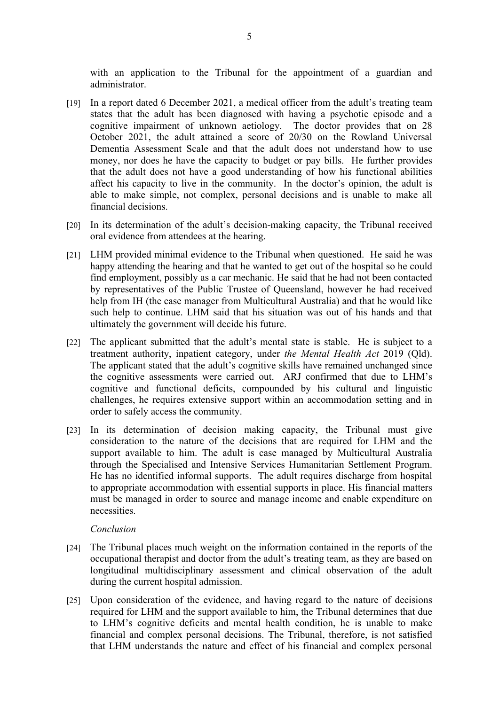with an application to the Tribunal for the appointment of a guardian and administrator.

- [19] In a report dated 6 December 2021, a medical officer from the adult's treating team states that the adult has been diagnosed with having a psychotic episode and a cognitive impairment of unknown aetiology. The doctor provides that on 28 October 2021, the adult attained a score of 20/30 on the Rowland Universal Dementia Assessment Scale and that the adult does not understand how to use money, nor does he have the capacity to budget or pay bills. He further provides that the adult does not have a good understanding of how his functional abilities affect his capacity to live in the community. In the doctor's opinion, the adult is able to make simple, not complex, personal decisions and is unable to make all financial decisions.
- [20] In its determination of the adult's decision-making capacity, the Tribunal received oral evidence from attendees at the hearing.
- [21] LHM provided minimal evidence to the Tribunal when questioned. He said he was happy attending the hearing and that he wanted to get out of the hospital so he could find employment, possibly as a car mechanic. He said that he had not been contacted by representatives of the Public Trustee of Queensland, however he had received help from IH (the case manager from Multicultural Australia) and that he would like such help to continue. LHM said that his situation was out of his hands and that ultimately the government will decide his future.
- [22] The applicant submitted that the adult's mental state is stable. He is subject to a treatment authority, inpatient category, under *the Mental Health Act* 2019 (Qld). The applicant stated that the adult's cognitive skills have remained unchanged since the cognitive assessments were carried out. ARJ confirmed that due to LHM's cognitive and functional deficits, compounded by his cultural and linguistic challenges, he requires extensive support within an accommodation setting and in order to safely access the community.
- [23] In its determination of decision making capacity, the Tribunal must give consideration to the nature of the decisions that are required for LHM and the support available to him. The adult is case managed by Multicultural Australia through the Specialised and Intensive Services Humanitarian Settlement Program. He has no identified informal supports. The adult requires discharge from hospital to appropriate accommodation with essential supports in place. His financial matters must be managed in order to source and manage income and enable expenditure on necessities.

#### *Conclusion*

- [24] The Tribunal places much weight on the information contained in the reports of the occupational therapist and doctor from the adult's treating team, as they are based on longitudinal multidisciplinary assessment and clinical observation of the adult during the current hospital admission.
- [25] Upon consideration of the evidence, and having regard to the nature of decisions required for LHM and the support available to him, the Tribunal determines that due to LHM's cognitive deficits and mental health condition, he is unable to make financial and complex personal decisions. The Tribunal, therefore, is not satisfied that LHM understands the nature and effect of his financial and complex personal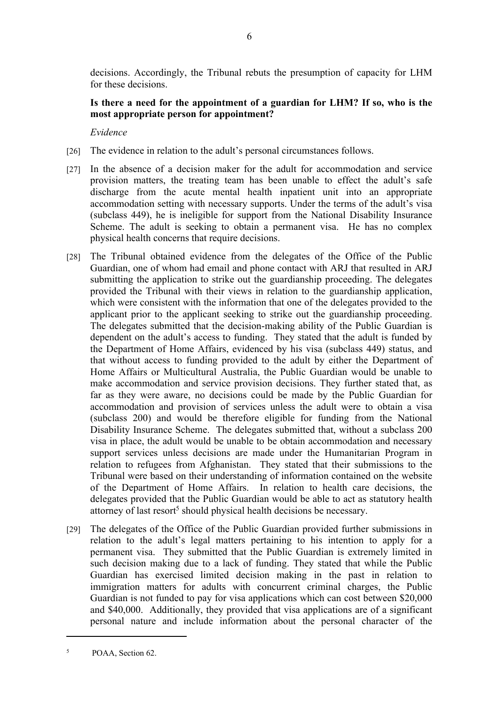decisions. Accordingly, the Tribunal rebuts the presumption of capacity for LHM for these decisions.

## **Is there a need for the appointment of a guardian for LHM? If so, who is the most appropriate person for appointment?**

*Evidence*

- [26] The evidence in relation to the adult's personal circumstances follows.
- [27] In the absence of a decision maker for the adult for accommodation and service provision matters, the treating team has been unable to effect the adult's safe discharge from the acute mental health inpatient unit into an appropriate accommodation setting with necessary supports. Under the terms of the adult's visa (subclass 449), he is ineligible for support from the National Disability Insurance Scheme. The adult is seeking to obtain a permanent visa. He has no complex physical health concerns that require decisions.
- [28] The Tribunal obtained evidence from the delegates of the Office of the Public Guardian, one of whom had email and phone contact with ARJ that resulted in ARJ submitting the application to strike out the guardianship proceeding. The delegates provided the Tribunal with their views in relation to the guardianship application, which were consistent with the information that one of the delegates provided to the applicant prior to the applicant seeking to strike out the guardianship proceeding. The delegates submitted that the decision-making ability of the Public Guardian is dependent on the adult's access to funding. They stated that the adult is funded by the Department of Home Affairs, evidenced by his visa (subclass 449) status, and that without access to funding provided to the adult by either the Department of Home Affairs or Multicultural Australia, the Public Guardian would be unable to make accommodation and service provision decisions. They further stated that, as far as they were aware, no decisions could be made by the Public Guardian for accommodation and provision of services unless the adult were to obtain a visa (subclass 200) and would be therefore eligible for funding from the National Disability Insurance Scheme. The delegates submitted that, without a subclass 200 visa in place, the adult would be unable to be obtain accommodation and necessary support services unless decisions are made under the Humanitarian Program in relation to refugees from Afghanistan. They stated that their submissions to the Tribunal were based on their understanding of information contained on the website of the Department of Home Affairs. In relation to health care decisions, the delegates provided that the Public Guardian would be able to act as statutory health attorney of last resort<sup>5</sup> should physical health decisions be necessary.
- [29] The delegates of the Office of the Public Guardian provided further submissions in relation to the adult's legal matters pertaining to his intention to apply for a permanent visa. They submitted that the Public Guardian is extremely limited in such decision making due to a lack of funding. They stated that while the Public Guardian has exercised limited decision making in the past in relation to immigration matters for adults with concurrent criminal charges, the Public Guardian is not funded to pay for visa applications which can cost between \$20,000 and \$40,000. Additionally, they provided that visa applications are of a significant personal nature and include information about the personal character of the

<sup>5</sup> POAA, Section 62.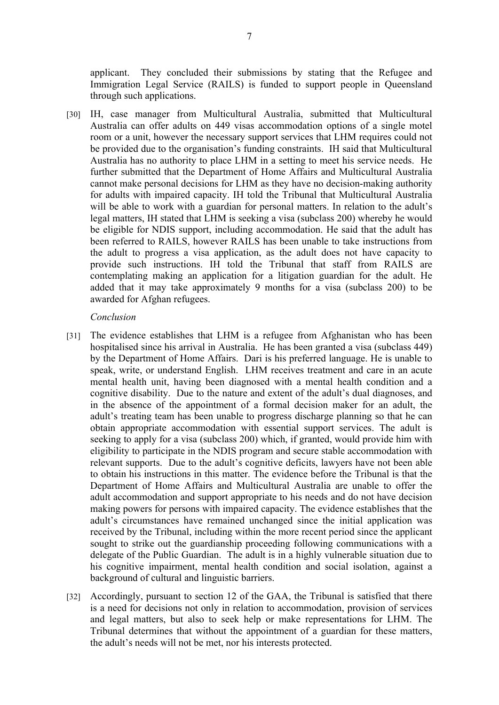applicant. They concluded their submissions by stating that the Refugee and Immigration Legal Service (RAILS) is funded to support people in Queensland through such applications.

[30] IH, case manager from Multicultural Australia, submitted that Multicultural Australia can offer adults on 449 visas accommodation options of a single motel room or a unit, however the necessary support services that LHM requires could not be provided due to the organisation's funding constraints. IH said that Multicultural Australia has no authority to place LHM in a setting to meet his service needs. He further submitted that the Department of Home Affairs and Multicultural Australia cannot make personal decisions for LHM as they have no decision-making authority for adults with impaired capacity. IH told the Tribunal that Multicultural Australia will be able to work with a guardian for personal matters. In relation to the adult's legal matters, IH stated that LHM is seeking a visa (subclass 200) whereby he would be eligible for NDIS support, including accommodation. He said that the adult has been referred to RAILS, however RAILS has been unable to take instructions from the adult to progress a visa application, as the adult does not have capacity to provide such instructions. IH told the Tribunal that staff from RAILS are contemplating making an application for a litigation guardian for the adult. He added that it may take approximately 9 months for a visa (subclass 200) to be awarded for Afghan refugees.

#### *Conclusion*

- [31] The evidence establishes that LHM is a refugee from Afghanistan who has been hospitalised since his arrival in Australia. He has been granted a visa (subclass 449) by the Department of Home Affairs. Dari is his preferred language. He is unable to speak, write, or understand English. LHM receives treatment and care in an acute mental health unit, having been diagnosed with a mental health condition and a cognitive disability. Due to the nature and extent of the adult's dual diagnoses, and in the absence of the appointment of a formal decision maker for an adult, the adult's treating team has been unable to progress discharge planning so that he can obtain appropriate accommodation with essential support services. The adult is seeking to apply for a visa (subclass 200) which, if granted, would provide him with eligibility to participate in the NDIS program and secure stable accommodation with relevant supports. Due to the adult's cognitive deficits, lawyers have not been able to obtain his instructions in this matter. The evidence before the Tribunal is that the Department of Home Affairs and Multicultural Australia are unable to offer the adult accommodation and support appropriate to his needs and do not have decision making powers for persons with impaired capacity. The evidence establishes that the adult's circumstances have remained unchanged since the initial application was received by the Tribunal, including within the more recent period since the applicant sought to strike out the guardianship proceeding following communications with a delegate of the Public Guardian. The adult is in a highly vulnerable situation due to his cognitive impairment, mental health condition and social isolation, against a background of cultural and linguistic barriers.
- [32] Accordingly, pursuant to section 12 of the GAA, the Tribunal is satisfied that there is a need for decisions not only in relation to accommodation, provision of services and legal matters, but also to seek help or make representations for LHM. The Tribunal determines that without the appointment of a guardian for these matters, the adult's needs will not be met, nor his interests protected.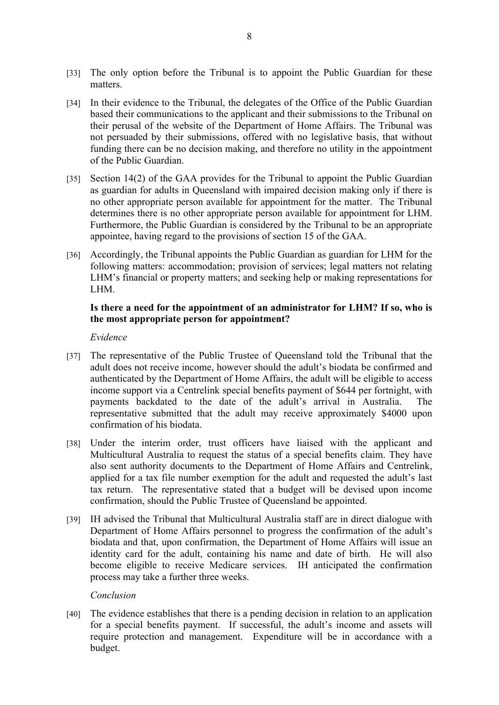- [33] The only option before the Tribunal is to appoint the Public Guardian for these matters.
- [34] In their evidence to the Tribunal, the delegates of the Office of the Public Guardian based their communications to the applicant and their submissions to the Tribunal on their perusal of the website of the Department of Home Affairs. The Tribunal was not persuaded by their submissions, offered with no legislative basis, that without funding there can be no decision making, and therefore no utility in the appointment of the Public Guardian.
- [35] Section 14(2) of the GAA provides for the Tribunal to appoint the Public Guardian as guardian for adults in Queensland with impaired decision making only if there is no other appropriate person available for appointment for the matter. The Tribunal determines there is no other appropriate person available for appointment for LHM. Furthermore, the Public Guardian is considered by the Tribunal to be an appropriate appointee, having regard to the provisions of section 15 of the GAA.
- [36] Accordingly, the Tribunal appoints the Public Guardian as guardian for LHM for the following matters: accommodation; provision of services; legal matters not relating LHM's financial or property matters; and seeking help or making representations for LHM.

## **Is there a need for the appointment of an administrator for LHM? If so, who is the most appropriate person for appointment?**

*Evidence*

- [37] The representative of the Public Trustee of Queensland told the Tribunal that the adult does not receive income, however should the adult's biodata be confirmed and authenticated by the Department of Home Affairs, the adult will be eligible to access income support via a Centrelink special benefits payment of \$644 per fortnight, with payments backdated to the date of the adult's arrival in Australia. The representative submitted that the adult may receive approximately \$4000 upon confirmation of his biodata.
- [38] Under the interim order, trust officers have liaised with the applicant and Multicultural Australia to request the status of a special benefits claim. They have also sent authority documents to the Department of Home Affairs and Centrelink, applied for a tax file number exemption for the adult and requested the adult's last tax return. The representative stated that a budget will be devised upon income confirmation, should the Public Trustee of Queensland be appointed.
- [39] IH advised the Tribunal that Multicultural Australia staff are in direct dialogue with Department of Home Affairs personnel to progress the confirmation of the adult's biodata and that, upon confirmation, the Department of Home Affairs will issue an identity card for the adult, containing his name and date of birth. He will also become eligible to receive Medicare services. IH anticipated the confirmation process may take a further three weeks.

*Conclusion*

[40] The evidence establishes that there is a pending decision in relation to an application for a special benefits payment. If successful, the adult's income and assets will require protection and management. Expenditure will be in accordance with a budget.